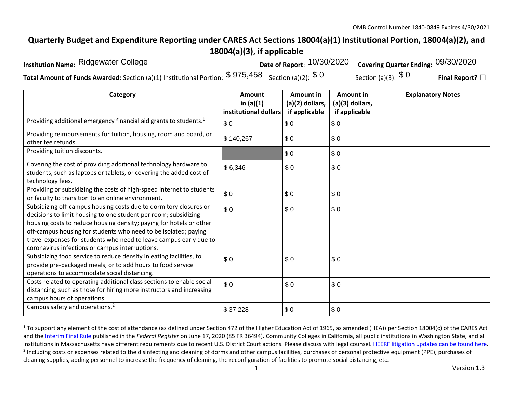## **Quarterly Budget and Expenditure Reporting under CARES Act Sections 18004(a)(1) Institutional Portion, 18004(a)(2), and 18004(a)(3), if applicable**

| <b>Institution Name: Ridgewater College</b>                                                                                | Date of Report: $10/30/2020$ Covering Quarter Ending: $09/30/2020$ |                          |                         |
|----------------------------------------------------------------------------------------------------------------------------|--------------------------------------------------------------------|--------------------------|-------------------------|
| <b>Total Amount of Funds Awarded:</b> Section (a)(1) Institutional Portion: $\frac{\$~975,458}{\$~Section}$ (a)(2): $\$~0$ |                                                                    | Section (a)(3): $\$$ $0$ | Final Report? $\square$ |

| Category                                                                                                                                                                                                                                                                                                                                                                                                | Amount<br>in $(a)(1)$<br>institutional dollars | Amount in<br>(a)(2) dollars,<br>if applicable | Amount in<br>(a)(3) dollars,<br>if applicable | <b>Explanatory Notes</b> |
|---------------------------------------------------------------------------------------------------------------------------------------------------------------------------------------------------------------------------------------------------------------------------------------------------------------------------------------------------------------------------------------------------------|------------------------------------------------|-----------------------------------------------|-----------------------------------------------|--------------------------|
| Providing additional emergency financial aid grants to students. <sup>1</sup>                                                                                                                                                                                                                                                                                                                           | \$0                                            | \$0                                           | \$0                                           |                          |
| Providing reimbursements for tuition, housing, room and board, or<br>other fee refunds.                                                                                                                                                                                                                                                                                                                 | \$140,267                                      | \$0                                           | \$0                                           |                          |
| Providing tuition discounts.                                                                                                                                                                                                                                                                                                                                                                            |                                                | \$0                                           | \$0                                           |                          |
| Covering the cost of providing additional technology hardware to<br>students, such as laptops or tablets, or covering the added cost of<br>technology fees.                                                                                                                                                                                                                                             | \$6,346                                        | \$0                                           | \$0                                           |                          |
| Providing or subsidizing the costs of high-speed internet to students<br>or faculty to transition to an online environment.                                                                                                                                                                                                                                                                             | \$0                                            | \$0                                           | \$0                                           |                          |
| Subsidizing off-campus housing costs due to dormitory closures or<br>decisions to limit housing to one student per room; subsidizing<br>housing costs to reduce housing density; paying for hotels or other<br>off-campus housing for students who need to be isolated; paying<br>travel expenses for students who need to leave campus early due to<br>coronavirus infections or campus interruptions. | \$0                                            | \$0                                           | \$0                                           |                          |
| Subsidizing food service to reduce density in eating facilities, to<br>provide pre-packaged meals, or to add hours to food service<br>operations to accommodate social distancing.                                                                                                                                                                                                                      | \$0                                            | \$0                                           | \$0                                           |                          |
| Costs related to operating additional class sections to enable social<br>distancing, such as those for hiring more instructors and increasing<br>campus hours of operations.                                                                                                                                                                                                                            | \$0                                            | \$0                                           | \$0                                           |                          |
| Campus safety and operations. <sup>2</sup>                                                                                                                                                                                                                                                                                                                                                              | \$37,228                                       | \$0                                           | \$0                                           |                          |

 $1$  To support any element of the cost of attendance (as defined under Section 472 of the Higher Education Act of 1965, as amended (HEA)) per Section 18004(c) of the CARES Act and the Interim Final Rule published in the *Federal Register* on June 17, 2020 (85 FR 36494). Community Colleges in California, all public institutions in Washington State, and all institutions in Massachusetts have different requirements due to recent U.S. District Court actions. Please discuss with legal counsel. HEERF litigation updates can be found here. <sup>2</sup> Including costs or expenses related to the disinfecting and cleaning of dorms and other campus facilities, purchases of personal protective equipment (PPE), purchases of cleaning supplies, adding personnel to increase the frequency of cleaning, the reconfiguration of facilities to promote social distancing, etc.